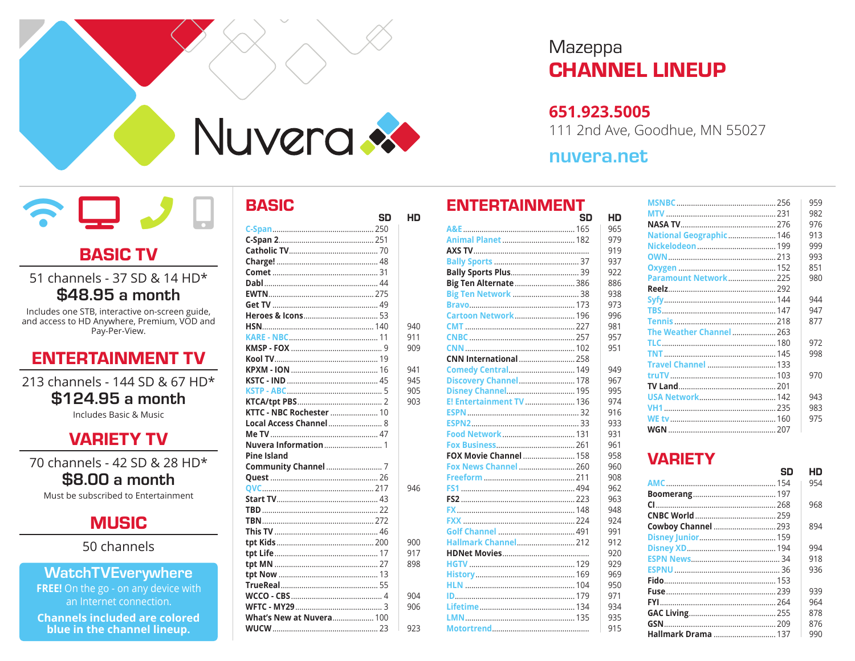

## **BASIC TV**

#### 51 channels - 37 SD & 14 HD\* \$48.95 a month

Includes one STB, interactive on-screen guide, and access to HD Anywhere, Premium, VOD and Pay-Per-View.

## **ENTERTAINMENT TV**

213 channels - 144 SD & 67 HD\* \$124.95 a month

Includes Basic & Music

## **VARIETY TV**

70 channels - 42 SD & 28 HD\* \$8.00 a month

Must be subscribed to Entertainment



50 channels

#### **WatchTVEverywhere**

FREE! On the go - on any device with an Internet connection.

**Channels included are colored** blue in the channel lineup.

## **BASIC**

| SD                              | HD  |
|---------------------------------|-----|
|                                 |     |
|                                 |     |
|                                 |     |
|                                 |     |
|                                 |     |
|                                 |     |
|                                 |     |
|                                 |     |
|                                 |     |
|                                 | 940 |
|                                 | 911 |
|                                 | 909 |
|                                 |     |
|                                 | 941 |
|                                 | 945 |
|                                 | 905 |
|                                 | 903 |
| KTTC - NBC Rochester  10        |     |
| Local Access Channel 8          |     |
|                                 |     |
|                                 |     |
| <b>Pine Island</b>              |     |
|                                 |     |
|                                 |     |
|                                 | 946 |
|                                 |     |
|                                 |     |
|                                 |     |
|                                 |     |
|                                 | 900 |
|                                 | 917 |
|                                 | 898 |
|                                 |     |
|                                 |     |
|                                 | 904 |
|                                 | 906 |
| <b>What's New at Nuvera 100</b> | 923 |
|                                 |     |

# Mazeppa **CHANNEL LINEUP**

#### 651.923.5005

111 2nd Ave, Goodhue, MN 55027

## nuvera.net

HD

#### **ENTERTAINMENT** SD

|                               | 965 |
|-------------------------------|-----|
| Animal Planet  182            | 979 |
|                               | 919 |
|                               | 937 |
| <b>Bally Sports Plus 39</b>   | 922 |
| Big Ten Alternate  386        | 886 |
| Big Ten Network  38           | 938 |
|                               | 973 |
|                               | 996 |
|                               | 981 |
|                               | 957 |
|                               | 951 |
| <b>CNN International  258</b> |     |
| <b>Comedy Central 149</b>     | 949 |
| Discovery Channel 178         | 967 |
| Disney Channel 195            | 995 |
| E! Entertainment TV  136      | 974 |
|                               | 916 |
|                               | 933 |
| Food Network 131              | 931 |
|                               | 961 |
| FOX Movie Channel  158        | 958 |
| <b>Fox News Channel  260</b>  | 960 |
|                               | 908 |
|                               | 962 |
|                               | 963 |
|                               | 948 |
|                               | 924 |
|                               | 991 |
| Hallmark Channel 212          | 912 |
|                               | 920 |
|                               | 929 |
|                               | 969 |
|                               | 950 |
|                               | 971 |
|                               | 934 |
|                               | 935 |
|                               | 915 |
|                               |     |

|                              | 959 |
|------------------------------|-----|
|                              | 982 |
|                              | 976 |
| National Geographic 146      | 913 |
|                              | 999 |
|                              | 993 |
|                              | 851 |
| <b>Paramount Network 225</b> | 980 |
|                              |     |
|                              | 944 |
|                              | 947 |
|                              | 877 |
| The Weather Channel  263     |     |
|                              | 972 |
|                              | 998 |
|                              |     |
|                              | 970 |
|                              |     |
|                              | 943 |
|                              | 983 |
|                              | 975 |
|                              |     |

## **VARIETY**

| SN                 | нn  |
|--------------------|-----|
|                    | 954 |
|                    |     |
|                    | 968 |
|                    |     |
| Cowboy Channel 293 | 894 |
|                    |     |
|                    | 994 |
|                    | 918 |
|                    | 936 |
|                    |     |
|                    | 939 |
|                    | 964 |
|                    | 878 |
|                    | 876 |
|                    | 990 |